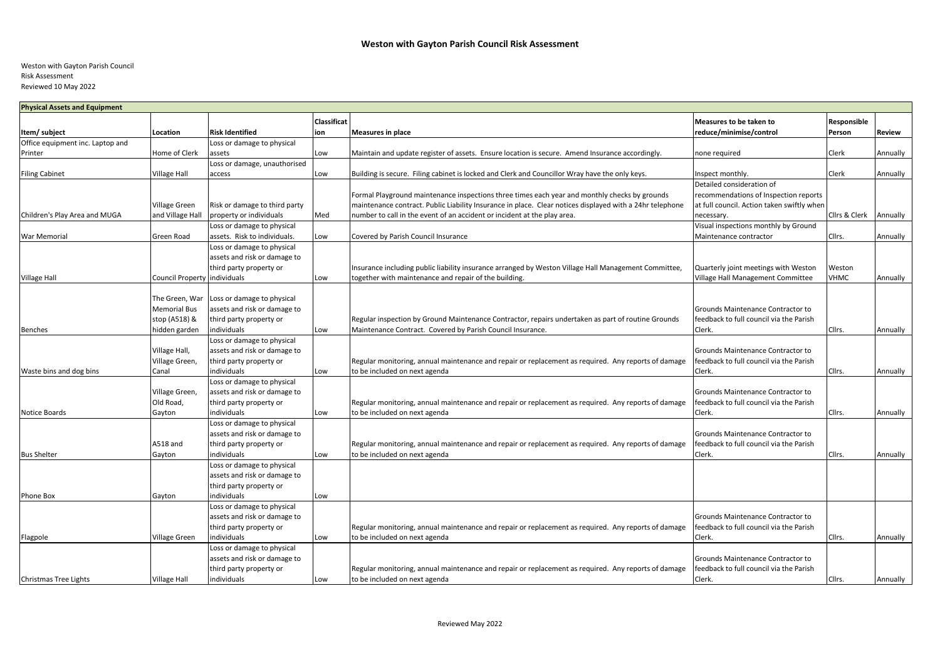## Weston with Gayton Parish Council Risk Assessment Reviewed 10 May 2022

| <b>Physical Assets and Equipment</b> |                                 |                               |                           |                                                                                                          |                                                    |                       |          |  |  |
|--------------------------------------|---------------------------------|-------------------------------|---------------------------|----------------------------------------------------------------------------------------------------------|----------------------------------------------------|-----------------------|----------|--|--|
| Item/ subject                        | Location                        | <b>Risk Identified</b>        | <b>Classificat</b><br>ion | <b>Measures in place</b>                                                                                 | Measures to be taken to<br>reduce/minimise/control | Responsible<br>Person | Review   |  |  |
| Office equipment inc. Laptop and     |                                 | Loss or damage to physical    |                           |                                                                                                          |                                                    |                       |          |  |  |
| Printer                              | Home of Clerk                   | assets                        | Low                       | Maintain and update register of assets. Ensure location is secure. Amend Insurance accordingly.          | none required                                      | Clerk                 | Annually |  |  |
|                                      |                                 | Loss or damage, unauthorised  |                           |                                                                                                          |                                                    |                       |          |  |  |
| <b>Filing Cabinet</b>                | <b>Village Hall</b>             | access                        | Low                       | Building is secure. Filing cabinet is locked and Clerk and Councillor Wray have the only keys.           | Inspect monthly.                                   | Clerk                 | Annually |  |  |
|                                      |                                 |                               |                           |                                                                                                          | Detailed consideration of                          |                       |          |  |  |
|                                      |                                 |                               |                           | Formal Playground maintenance inspections three times each year and monthly checks by grounds            | recommendations of Inspection reports              |                       |          |  |  |
|                                      | <b>Village Green</b>            | Risk or damage to third party |                           | maintenance contract. Public Liability Insurance in place. Clear notices displayed with a 24hr telephone | at full council. Action taken swiftly when         |                       |          |  |  |
| Children's Play Area and MUGA        | and Village Hall                | property or individuals       | Med                       | number to call in the event of an accident or incident at the play area.                                 | necessary.                                         | Cllrs & Clerk         | Annually |  |  |
|                                      |                                 | Loss or damage to physical    |                           |                                                                                                          | Visual inspections monthly by Ground               |                       |          |  |  |
| War Memorial                         | Green Road                      | assets. Risk to individuals.  | Low                       | Covered by Parish Council Insurance                                                                      | Maintenance contractor                             | Cllrs.                | Annually |  |  |
|                                      |                                 | Loss or damage to physical    |                           |                                                                                                          |                                                    |                       |          |  |  |
|                                      |                                 | assets and risk or damage to  |                           |                                                                                                          |                                                    |                       |          |  |  |
|                                      |                                 | third party property or       |                           | Insurance including public liability insurance arranged by Weston Village Hall Management Committee,     | Quarterly joint meetings with Weston               | Weston                |          |  |  |
| <b>Village Hall</b>                  | Council Property individuals    |                               | Low                       | together with maintenance and repair of the building.                                                    | Village Hall Management Committee                  | <b>VHMC</b>           | Annually |  |  |
|                                      |                                 |                               |                           |                                                                                                          |                                                    |                       |          |  |  |
|                                      | The Green, War                  | Loss or damage to physical    |                           |                                                                                                          |                                                    |                       |          |  |  |
|                                      | <b>Memorial Bus</b>             | assets and risk or damage to  |                           |                                                                                                          | Grounds Maintenance Contractor to                  |                       |          |  |  |
|                                      | stop (A518) &                   | third party property or       |                           | Regular inspection by Ground Maintenance Contractor, repairs undertaken as part of routine Grounds       | feedback to full council via the Parish            |                       |          |  |  |
| <b>Benches</b>                       | hidden garden                   | individuals                   | Low                       | Maintenance Contract. Covered by Parish Council Insurance.                                               | Clerk.                                             | Cllrs.                | Annually |  |  |
|                                      |                                 | Loss or damage to physical    |                           |                                                                                                          |                                                    |                       |          |  |  |
|                                      |                                 | assets and risk or damage to  |                           |                                                                                                          | Grounds Maintenance Contractor to                  |                       |          |  |  |
|                                      | Village Hall,<br>Village Green, | third party property or       |                           | Regular monitoring, annual maintenance and repair or replacement as required. Any reports of damage      | feedback to full council via the Parish            |                       |          |  |  |
|                                      | Canal                           | individuals                   |                           |                                                                                                          | Clerk.                                             | Cllrs.                |          |  |  |
| Waste bins and dog bins              |                                 | Loss or damage to physical    | Low                       | to be included on next agenda                                                                            |                                                    |                       | Annually |  |  |
|                                      |                                 |                               |                           |                                                                                                          | Grounds Maintenance Contractor to                  |                       |          |  |  |
|                                      | Village Green,                  | assets and risk or damage to  |                           |                                                                                                          |                                                    |                       |          |  |  |
|                                      | Old Road,                       | third party property or       |                           | Regular monitoring, annual maintenance and repair or replacement as required. Any reports of damage      | feedback to full council via the Parish            |                       |          |  |  |
| <b>Notice Boards</b>                 | Gayton                          | individuals                   | Low                       | to be included on next agenda                                                                            | Clerk.                                             | Cllrs.                | Annually |  |  |
|                                      |                                 | Loss or damage to physical    |                           |                                                                                                          |                                                    |                       |          |  |  |
|                                      |                                 | assets and risk or damage to  |                           |                                                                                                          | Grounds Maintenance Contractor to                  |                       |          |  |  |
|                                      | A518 and                        | third party property or       |                           | Regular monitoring, annual maintenance and repair or replacement as required. Any reports of damage      | feedback to full council via the Parish            |                       |          |  |  |
| <b>Bus Shelter</b>                   | Gayton                          | individuals                   | Low                       | to be included on next agenda                                                                            | Clerk.                                             | Cllrs.                | Annually |  |  |
|                                      |                                 | Loss or damage to physical    |                           |                                                                                                          |                                                    |                       |          |  |  |
|                                      |                                 | assets and risk or damage to  |                           |                                                                                                          |                                                    |                       |          |  |  |
|                                      |                                 | third party property or       |                           |                                                                                                          |                                                    |                       |          |  |  |
| Phone Box                            | Gayton                          | individuals                   | Low                       |                                                                                                          |                                                    |                       |          |  |  |
|                                      |                                 | Loss or damage to physical    |                           |                                                                                                          |                                                    |                       |          |  |  |
|                                      |                                 | assets and risk or damage to  |                           |                                                                                                          | Grounds Maintenance Contractor to                  |                       |          |  |  |
|                                      |                                 | third party property or       |                           | Regular monitoring, annual maintenance and repair or replacement as required. Any reports of damage      | feedback to full council via the Parish            |                       |          |  |  |
| Flagpole                             | Village Green                   | individuals                   | Low                       | to be included on next agenda                                                                            | Clerk.                                             | Cllrs.                | Annually |  |  |
|                                      |                                 | Loss or damage to physical    |                           |                                                                                                          |                                                    |                       |          |  |  |
|                                      |                                 | assets and risk or damage to  |                           |                                                                                                          | Grounds Maintenance Contractor to                  |                       |          |  |  |
|                                      |                                 | third party property or       |                           | Regular monitoring, annual maintenance and repair or replacement as required. Any reports of damage      | feedback to full council via the Parish            |                       |          |  |  |
| Christmas Tree Lights                | <b>Village Hall</b>             | individuals                   | Low                       | to be included on next agenda                                                                            | Clerk.                                             | Cllrs.                | Annually |  |  |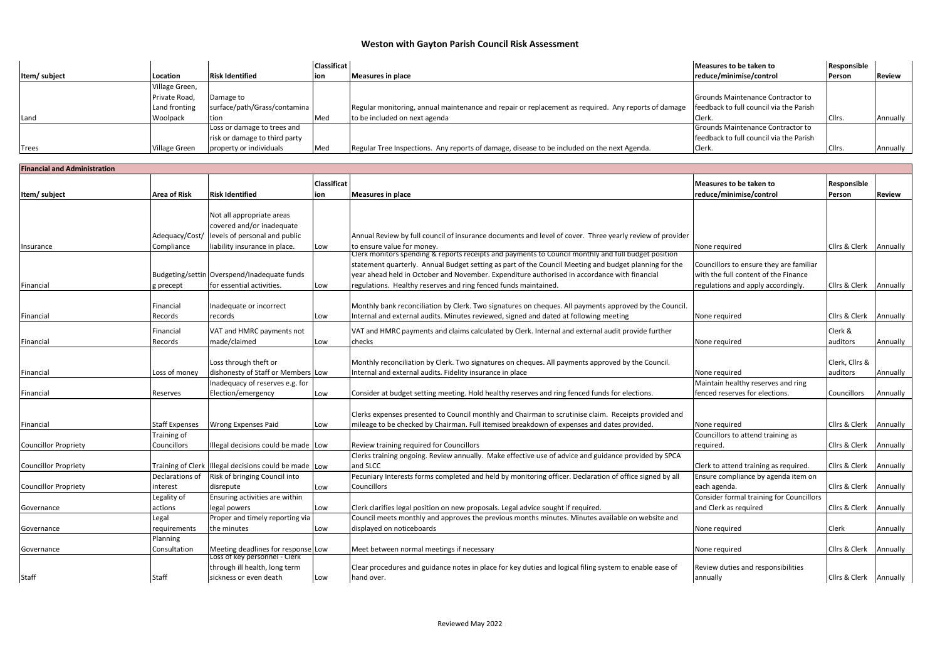## **Weston with Gayton Parish Council Risk Assessment**

|              |                |                               | <b>Classificat</b> |                                                                                                     | Measures to be taken to                 | Responsible   |               |
|--------------|----------------|-------------------------------|--------------------|-----------------------------------------------------------------------------------------------------|-----------------------------------------|---------------|---------------|
| Item/subject | Location       | <b>Risk Identified</b>        | lion.              | Measures in place                                                                                   | reduce/minimise/control                 | <b>Person</b> | <b>Review</b> |
|              | Village Green, |                               |                    |                                                                                                     |                                         |               |               |
|              | Private Road.  | Damage to                     |                    |                                                                                                     | Grounds Maintenance Contractor to       |               |               |
|              | Land fronting  | surface/path/Grass/contamina  |                    | Regular monitoring, annual maintenance and repair or replacement as required. Any reports of damage | feedback to full council via the Parish |               |               |
| Land         | Woolpack       | Ition                         | Med                | to be included on next agenda                                                                       | Clerk.                                  | Cllrs.        | Annually      |
|              |                | Loss or damage to trees and   |                    |                                                                                                     | Grounds Maintenance Contractor to       |               |               |
|              |                | risk or damage to third party |                    |                                                                                                     | feedback to full council via the Parish |               |               |
| <b>Trees</b> | Village Green  | property or individuals       | <b>IMed</b>        | Regular Tree Inspections. Any reports of damage, disease to be included on the next Agenda.         | Clerk.                                  | Cllrs.        | Annually      |

| <b>Financial and Administration</b> |                       |                                                       |                           |                                                                                                          |                                                    |                        |               |  |  |
|-------------------------------------|-----------------------|-------------------------------------------------------|---------------------------|----------------------------------------------------------------------------------------------------------|----------------------------------------------------|------------------------|---------------|--|--|
| Item/subject                        | <b>Area of Risk</b>   | <b>Risk Identified</b>                                | <b>Classificat</b><br>ion | <b>Measures in place</b>                                                                                 | Measures to be taken to<br>reduce/minimise/control | Responsible<br>Person  | <b>Review</b> |  |  |
|                                     |                       |                                                       |                           |                                                                                                          |                                                    |                        |               |  |  |
|                                     |                       | Not all appropriate areas                             |                           |                                                                                                          |                                                    |                        |               |  |  |
|                                     |                       | covered and/or inadequate                             |                           |                                                                                                          |                                                    |                        |               |  |  |
|                                     | Adequacy/Cost/        | levels of personal and public                         |                           | Annual Review by full council of insurance documents and level of cover. Three yearly review of provider |                                                    |                        |               |  |  |
| Insurance                           | Compliance            | liability insurance in place.                         | Low                       | to ensure value for money.                                                                               | None required                                      | Cllrs & Clerk          | Annually      |  |  |
|                                     |                       |                                                       |                           | Clerk monitors spending & reports receipts and payments to Council monthly and full budget position      |                                                    |                        |               |  |  |
|                                     |                       |                                                       |                           | statement quarterly. Annual Budget setting as part of the Council Meeting and budget planning for the    | Councillors to ensure they are familiar            |                        |               |  |  |
|                                     |                       | Budgeting/settin Overspend/Inadequate funds           |                           | year ahead held in October and November. Expenditure authorised in accordance with financial             | with the full content of the Finance               |                        |               |  |  |
| Financial                           | t precept             | for essential activities.                             | Low                       | regulations. Healthy reserves and ring fenced funds maintained.                                          | regulations and apply accordingly.                 | Cllrs & Clerk Annually |               |  |  |
|                                     |                       |                                                       |                           |                                                                                                          |                                                    |                        |               |  |  |
|                                     | Financial             | Inadequate or incorrect                               |                           | Monthly bank reconciliation by Clerk. Two signatures on cheques. All payments approved by the Council.   |                                                    |                        |               |  |  |
| Financial                           | Records               | records                                               | Low                       | Internal and external audits. Minutes reviewed, signed and dated at following meeting                    | None required                                      | Cllrs & Clerk          | Annually      |  |  |
|                                     | Financial             | VAT and HMRC payments not                             |                           | VAT and HMRC payments and claims calculated by Clerk. Internal and external audit provide further        |                                                    | Clerk &                |               |  |  |
| Financial                           | Records               | made/claimed                                          | Low                       | checks                                                                                                   | None required                                      | auditors               | Annually      |  |  |
|                                     |                       |                                                       |                           |                                                                                                          |                                                    |                        |               |  |  |
|                                     |                       | Loss through theft or                                 |                           | Monthly reconciliation by Clerk. Two signatures on cheques. All payments approved by the Council.        |                                                    | Clerk, Cllrs &         |               |  |  |
| Financial                           | Loss of money         | dishonesty of Staff or Members Low                    |                           | Internal and external audits. Fidelity insurance in place                                                | None required                                      | auditors               | Annually      |  |  |
|                                     |                       | Inadequacy of reserves e.g. for                       |                           |                                                                                                          | Maintain healthy reserves and ring                 |                        |               |  |  |
| Financial                           | Reserves              | Election/emergency                                    | Low                       | Consider at budget setting meeting. Hold healthy reserves and ring fenced funds for elections.           | enced reserves for elections.                      | Councillors            | Annually      |  |  |
|                                     |                       |                                                       |                           |                                                                                                          |                                                    |                        |               |  |  |
|                                     |                       |                                                       |                           | Clerks expenses presented to Council monthly and Chairman to scrutinise claim. Receipts provided and     |                                                    |                        |               |  |  |
| Financial                           | <b>Staff Expenses</b> | Wrong Expenses Paid                                   | Low                       | mileage to be checked by Chairman. Full itemised breakdown of expenses and dates provided.               | None required                                      | Cllrs & Clerk          | Annually      |  |  |
|                                     | Training of           |                                                       |                           |                                                                                                          | Councillors to attend training as                  |                        |               |  |  |
| <b>Councillor Propriety</b>         | Councillors           | Illegal decisions could be made Low                   |                           | Review training required for Councillors                                                                 | required.                                          | Cllrs & Clerk          | Annually      |  |  |
|                                     |                       |                                                       |                           | Clerks training ongoing. Review annually. Make effective use of advice and guidance provided by SPCA     |                                                    |                        |               |  |  |
| <b>Councillor Propriety</b>         |                       | Training of Clerk Illegal decisions could be made Low |                           | and SLCC                                                                                                 | Clerk to attend training as required.              | Cllrs & Clerk          | Annually      |  |  |
|                                     | Declarations of       | Risk of bringing Council into                         |                           | Pecuniary Interests forms completed and held by monitoring officer. Declaration of office signed by all  | Ensure compliance by agenda item on                |                        |               |  |  |
| <b>Councillor Propriety</b>         | interest              | disrepute                                             | Low                       | Councillors                                                                                              | each agenda.                                       | Cllrs & Clerk Annually |               |  |  |
|                                     | Legality of           | Ensuring activities are within                        |                           |                                                                                                          | <b>Consider formal training for Councillors</b>    |                        |               |  |  |
| Governance                          | actions               | legal powers                                          | Low                       | Clerk clarifies legal position on new proposals. Legal advice sought if required.                        | and Clerk as required                              | Cllrs & Clerk          | Annually      |  |  |
|                                     | Legal                 | Proper and timely reporting via                       |                           | Council meets monthly and approves the previous months minutes. Minutes available on website and         |                                                    |                        |               |  |  |
| Governance                          | requirements          | the minutes                                           | Low                       | displayed on noticeboards                                                                                | None required                                      | Clerk                  | Annually      |  |  |
|                                     | Planning              |                                                       |                           |                                                                                                          |                                                    |                        |               |  |  |
| Governance                          | Consultation          | Meeting deadlines for response Low                    |                           | Meet between normal meetings if necessary                                                                | None required                                      | Cllrs & Clerk          | Annually      |  |  |
|                                     |                       | Loss of key personnel - Clerk                         |                           |                                                                                                          |                                                    |                        |               |  |  |
|                                     |                       | through ill health, long term                         |                           | Clear procedures and guidance notes in place for key duties and logical filing system to enable ease of  | Review duties and responsibilities                 |                        |               |  |  |
| Staff                               | Staff                 | sickness or even death                                | Low                       | hand over.                                                                                               | annually                                           | Cllrs & Clerk Annually |               |  |  |